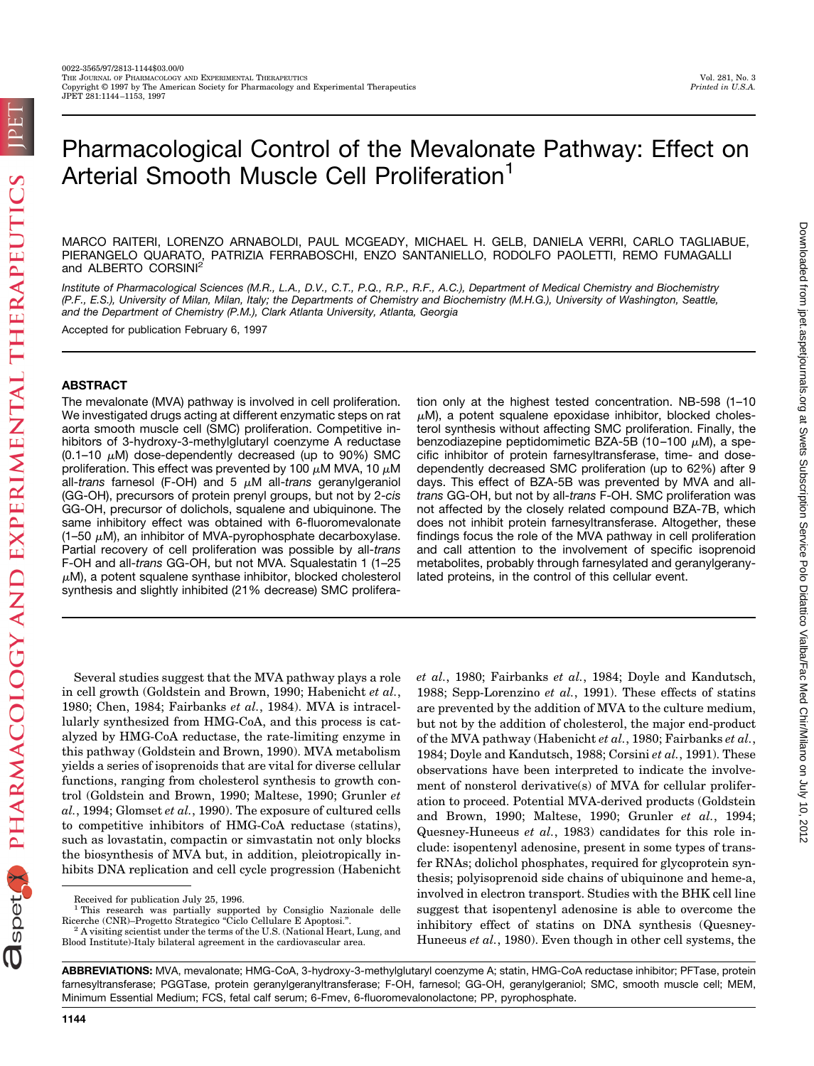# Pharmacological Control of the Mevalonate Pathway: Effect on Arterial Smooth Muscle Cell Proliferation<sup>1</sup>

MARCO RAITERI, LORENZO ARNABOLDI, PAUL MCGEADY, MICHAEL H. GELB, DANIELA VERRI, CARLO TAGLIABUE, PIERANGELO QUARATO, PATRIZIA FERRABOSCHI, ENZO SANTANIELLO, RODOLFO PAOLETTI, REMO FUMAGALLI and ALBERTO CORSINI<sup>2</sup>

*Institute of Pharmacological Sciences (M.R., L.A., D.V., C.T., P.Q., R.P., R.F., A.C.), Department of Medical Chemistry and Biochemistry (P.F., E.S.), University of Milan, Milan, Italy; the Departments of Chemistry and Biochemistry (M.H.G.), University of Washington, Seattle, and the Department of Chemistry (P.M.), Clark Atlanta University, Atlanta, Georgia*

Accepted for publication February 6, 1997

# **ABSTRACT**

The mevalonate (MVA) pathway is involved in cell proliferation. We investigated drugs acting at different enzymatic steps on rat aorta smooth muscle cell (SMC) proliferation. Competitive inhibitors of 3-hydroxy-3-methylglutaryl coenzyme A reductase  $(0.1-10 \mu M)$  dose-dependently decreased (up to 90%) SMC proliferation. This effect was prevented by 100  $\mu$ M MVA, 10  $\mu$ M all-*trans* farnesol (F-OH) and 5  $\mu$ M all-*trans* geranylgeraniol (GG-OH), precursors of protein prenyl groups, but not by 2-*cis* GG-OH, precursor of dolichols, squalene and ubiquinone. The same inhibitory effect was obtained with 6-fluoromevalonate  $(1-50 \mu M)$ , an inhibitor of MVA-pyrophosphate decarboxylase. Partial recovery of cell proliferation was possible by all-*trans* F-OH and all-*trans* GG-OH, but not MVA. Squalestatin 1 (1–25  $\mu$ M), a potent squalene synthase inhibitor, blocked cholesterol synthesis and slightly inhibited (21% decrease) SMC proliferation only at the highest tested concentration. NB-598 (1–10  $\mu$ M), a potent squalene epoxidase inhibitor, blocked cholesterol synthesis without affecting SMC proliferation. Finally, the benzodiazepine peptidomimetic BZA-5B (10-100  $\mu$ M), a specific inhibitor of protein farnesyltransferase, time- and dosedependently decreased SMC proliferation (up to 62%) after 9 days. This effect of BZA-5B was prevented by MVA and all*trans* GG-OH, but not by all-*trans* F-OH. SMC proliferation was not affected by the closely related compound BZA-7B, which does not inhibit protein farnesyltransferase. Altogether, these findings focus the role of the MVA pathway in cell proliferation and call attention to the involvement of specific isoprenoid metabolites, probably through farnesylated and geranylgeranylated proteins, in the control of this cellular event.

Several studies suggest that the MVA pathway plays a role in cell growth (Goldstein and Brown, 1990; Habenicht *et al.*, 1980; Chen, 1984; Fairbanks *et al.*, 1984). MVA is intracellularly synthesized from HMG-CoA, and this process is catalyzed by HMG-CoA reductase, the rate-limiting enzyme in this pathway (Goldstein and Brown, 1990). MVA metabolism yields a series of isoprenoids that are vital for diverse cellular functions, ranging from cholesterol synthesis to growth control (Goldstein and Brown, 1990; Maltese, 1990; Grunler *et al.*, 1994; Glomset *et al.*, 1990). The exposure of cultured cells to competitive inhibitors of HMG-CoA reductase (statins), such as lovastatin, compactin or simvastatin not only blocks the biosynthesis of MVA but, in addition, pleiotropically inhibits DNA replication and cell cycle progression (Habenicht

*et al.*, 1980; Fairbanks *et al.*, 1984; Doyle and Kandutsch, 1988; Sepp-Lorenzino *et al.*, 1991). These effects of statins are prevented by the addition of MVA to the culture medium, but not by the addition of cholesterol, the major end-product of the MVA pathway (Habenicht *et al.*, 1980; Fairbanks *et al.*, 1984; Doyle and Kandutsch, 1988; Corsini *et al.*, 1991). These observations have been interpreted to indicate the involvement of nonsterol derivative(s) of MVA for cellular proliferation to proceed. Potential MVA-derived products (Goldstein and Brown, 1990; Maltese, 1990; Grunler *et al.*, 1994; Quesney-Huneeus *et al.*, 1983) candidates for this role include: isopentenyl adenosine, present in some types of transfer RNAs; dolichol phosphates, required for glycoprotein synthesis; polyisoprenoid side chains of ubiquinone and heme-a, involved in electron transport. Studies with the BHK cell line suggest that isopentenyl adenosine is able to overcome the inhibitory effect of statins on DNA synthesis (Quesney-Huneeus *et al.*, 1980). Even though in other cell systems, the

**ABBREVIATIONS:** MVA, mevalonate; HMG-CoA, 3-hydroxy-3-methylglutaryl coenzyme A; statin, HMG-CoA reductase inhibitor; PFTase, protein farnesyltransferase; PGGTase, protein geranylgeranyltransferase; F-OH, farnesol; GG-OH, geranylgeraniol; SMC, smooth muscle cell; MEM, Minimum Essential Medium; FCS, fetal calf serum; 6-Fmev, 6-fluoromevalonolactone; PP, pyrophosphate.

Downloaded from ipet aspetjournals.org at Swets Subscription Service Polo Didattico Vialba/Fac Med Chir/Milano on July 10, 2012

Downloadt complication of the Christian Construction Service Polo Diadatico Circle Are Christminum on July 10, 2012

Received for publication July 25, 1996.

<sup>&</sup>lt;sup>1</sup> This research was partially supported by Consiglio Nazionale delle Ricerche (CNR)–Progetto Strategico "Ciclo Cellulare E Apoptosi.". A visiting scientist under the terms of the U.S. (National Heart, Lung, and

Blood Institute)-Italy bilateral agreement in the cardiovascular area.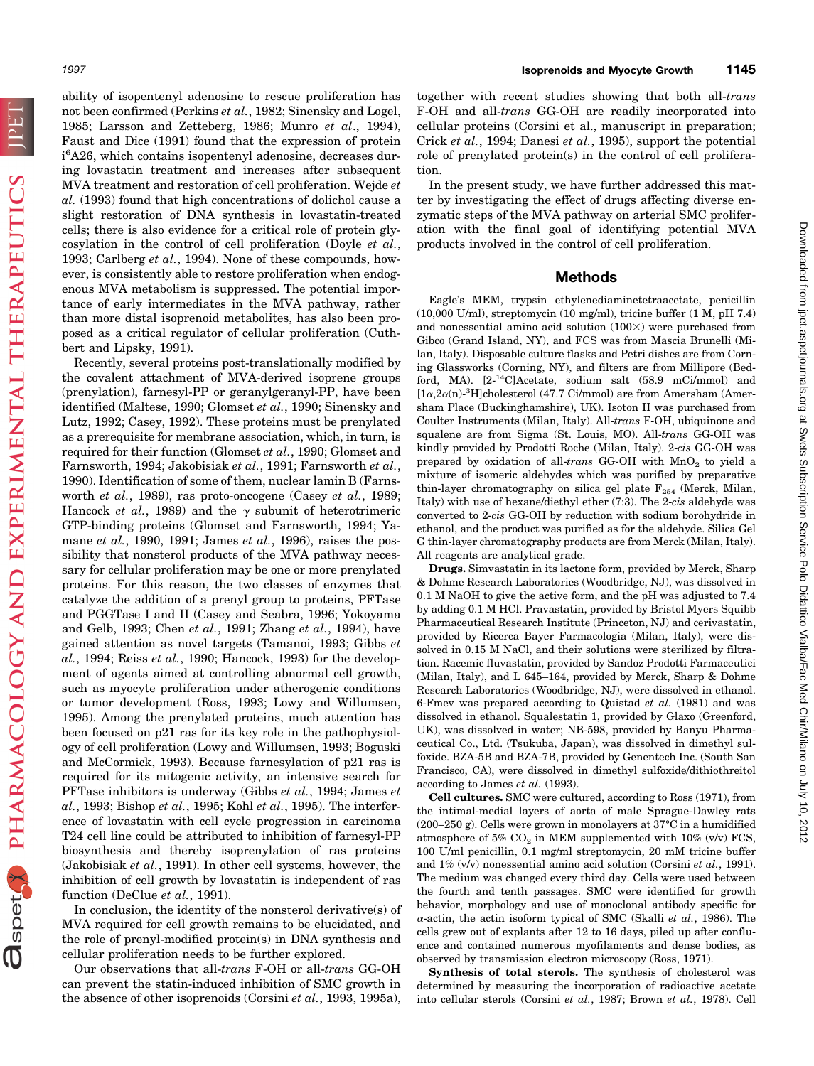**TPET** 

Ospet PHARMACOLOGY AND EXPERIMENTAL THERAPEUTICS

ability of isopentenyl adenosine to rescue proliferation has not been confirmed (Perkins *et al.*, 1982; Sinensky and Logel, 1985; Larsson and Zetteberg, 1986; Munro *et al*., 1994), Faust and Dice (1991) found that the expression of protein i<sup>6</sup>A26, which contains isopentenyl adenosine, decreases during lovastatin treatment and increases after subsequent MVA treatment and restoration of cell proliferation. Wejde *et al.* (1993) found that high concentrations of dolichol cause a slight restoration of DNA synthesis in lovastatin-treated cells; there is also evidence for a critical role of protein glycosylation in the control of cell proliferation (Doyle *et al.*, 1993; Carlberg *et al.*, 1994). None of these compounds, however, is consistently able to restore proliferation when endogenous MVA metabolism is suppressed. The potential importance of early intermediates in the MVA pathway, rather than more distal isoprenoid metabolites, has also been proposed as a critical regulator of cellular proliferation (Cuthbert and Lipsky, 1991).

Recently, several proteins post-translationally modified by the covalent attachment of MVA-derived isoprene groups (prenylation), farnesyl-PP or geranylgeranyl-PP, have been identified (Maltese, 1990; Glomset *et al.*, 1990; Sinensky and Lutz, 1992; Casey, 1992). These proteins must be prenylated as a prerequisite for membrane association, which, in turn, is required for their function (Glomset *et al.*, 1990; Glomset and Farnsworth, 1994; Jakobisiak *et al.*, 1991; Farnsworth *et al.*, 1990). Identification of some of them, nuclear lamin B (Farnsworth *et al.*, 1989), ras proto-oncogene (Casey *et al.*, 1989; Hancock *et al.*, 1989) and the  $\gamma$  subunit of heterotrimeric GTP-binding proteins (Glomset and Farnsworth, 1994; Yamane *et al.*, 1990, 1991; James *et al.*, 1996), raises the possibility that nonsterol products of the MVA pathway necessary for cellular proliferation may be one or more prenylated proteins. For this reason, the two classes of enzymes that catalyze the addition of a prenyl group to proteins, PFTase and PGGTase I and II (Casey and Seabra, 1996; Yokoyama and Gelb, 1993; Chen *et al.*, 1991; Zhang *et al.*, 1994), have gained attention as novel targets (Tamanoi, 1993; Gibbs *et al.*, 1994; Reiss *et al.*, 1990; Hancock, 1993) for the development of agents aimed at controlling abnormal cell growth, such as myocyte proliferation under atherogenic conditions or tumor development (Ross, 1993; Lowy and Willumsen, 1995). Among the prenylated proteins, much attention has been focused on p21 ras for its key role in the pathophysiology of cell proliferation (Lowy and Willumsen, 1993; Boguski and McCormick, 1993). Because farnesylation of p21 ras is required for its mitogenic activity, an intensive search for PFTase inhibitors is underway (Gibbs *et al.*, 1994; James *et al.*, 1993; Bishop *et al.*, 1995; Kohl *et al.*, 1995). The interference of lovastatin with cell cycle progression in carcinoma T24 cell line could be attributed to inhibition of farnesyl-PP biosynthesis and thereby isoprenylation of ras proteins (Jakobisiak *et al.*, 1991). In other cell systems, however, the inhibition of cell growth by lovastatin is independent of ras function (DeClue *et al.*, 1991).

In conclusion, the identity of the nonsterol derivative(s) of MVA required for cell growth remains to be elucidated, and the role of prenyl-modified protein(s) in DNA synthesis and cellular proliferation needs to be further explored.

Our observations that all-*trans* F-OH or all-*trans* GG-OH can prevent the statin-induced inhibition of SMC growth in the absence of other isoprenoids (Corsini *et al.*, 1993, 1995a),

together with recent studies showing that both all-*trans* F-OH and all-*trans* GG-OH are readily incorporated into cellular proteins (Corsini et al., manuscript in preparation; Crick *et al.*, 1994; Danesi *et al.*, 1995), support the potential role of prenylated protein(s) in the control of cell proliferation.

In the present study, we have further addressed this matter by investigating the effect of drugs affecting diverse enzymatic steps of the MVA pathway on arterial SMC proliferation with the final goal of identifying potential MVA products involved in the control of cell proliferation.

### **Methods**

Eagle's MEM, trypsin ethylenediaminetetraacetate, penicillin (10,000 U/ml), streptomycin (10 mg/ml), tricine buffer (1 M, pH 7.4) and nonessential amino acid solution  $(100\times)$  were purchased from Gibco (Grand Island, NY), and FCS was from Mascia Brunelli (Milan, Italy). Disposable culture flasks and Petri dishes are from Corning Glassworks (Corning, NY), and filters are from Millipore (Bedford, MA).  $[2^{-14}C]$ Acetate, sodium salt (58.9 mCi/mmol) and [ $1\alpha, 2\alpha$ (n)<sup>-3</sup>H]cholesterol (47.7 Ci/mmol) are from Amersham (Amersham Place (Buckinghamshire), UK). Isoton II was purchased from Coulter Instruments (Milan, Italy). All-*trans* F-OH, ubiquinone and squalene are from Sigma (St. Louis, MO). All-*trans* GG-OH was kindly provided by Prodotti Roche (Milan, Italy). 2-*cis* GG-OH was prepared by oxidation of all-*trans* GG-OH with MnO<sub>2</sub> to yield a mixture of isomeric aldehydes which was purified by preparative thin-layer chromatography on silica gel plate  $F_{254}$  (Merck, Milan, Italy) with use of hexane/diethyl ether (7:3). The 2-*cis* aldehyde was converted to 2-*cis* GG-OH by reduction with sodium borohydride in ethanol, and the product was purified as for the aldehyde. Silica Gel G thin-layer chromatography products are from Merck (Milan, Italy). All reagents are analytical grade.

**Drugs.** Simvastatin in its lactone form, provided by Merck, Sharp & Dohme Research Laboratories (Woodbridge, NJ), was dissolved in 0.1 M NaOH to give the active form, and the pH was adjusted to 7.4 by adding 0.1 M HCl. Pravastatin, provided by Bristol Myers Squibb Pharmaceutical Research Institute (Princeton, NJ) and cerivastatin, provided by Ricerca Bayer Farmacologia (Milan, Italy), were dissolved in 0.15 M NaCl, and their solutions were sterilized by filtration. Racemic fluvastatin, provided by Sandoz Prodotti Farmaceutici (Milan, Italy), and L 645–164, provided by Merck, Sharp & Dohme Research Laboratories (Woodbridge, NJ), were dissolved in ethanol. 6-Fmev was prepared according to Quistad *et al.* (1981) and was dissolved in ethanol. Squalestatin 1, provided by Glaxo (Greenford, UK), was dissolved in water; NB-598, provided by Banyu Pharmaceutical Co., Ltd. (Tsukuba, Japan), was dissolved in dimethyl sulfoxide. BZA-5B and BZA-7B, provided by Genentech Inc. (South San Francisco, CA), were dissolved in dimethyl sulfoxide/dithiothreitol according to James *et al.* (1993).

**Cell cultures.** SMC were cultured, according to Ross (1971), from the intimal-medial layers of aorta of male Sprague-Dawley rats (200–250 g). Cells were grown in monolayers at 37°C in a humidified atmosphere of 5%  $CO<sub>2</sub>$  in MEM supplemented with 10% (v/v) FCS, 100 U/ml penicillin, 0.1 mg/ml streptomycin, 20 mM tricine buffer and 1% (v/v) nonessential amino acid solution (Corsini *et al.*, 1991). The medium was changed every third day. Cells were used between the fourth and tenth passages. SMC were identified for growth behavior, morphology and use of monoclonal antibody specific for <sup>a</sup>-actin, the actin isoform typical of SMC (Skalli *et al.*, 1986). The cells grew out of explants after 12 to 16 days, piled up after confluence and contained numerous myofilaments and dense bodies, as observed by transmission electron microscopy (Ross, 1971).

**Synthesis of total sterols.** The synthesis of cholesterol was determined by measuring the incorporation of radioactive acetate into cellular sterols (Corsini *et al.*, 1987; Brown *et al.*, 1978). Cell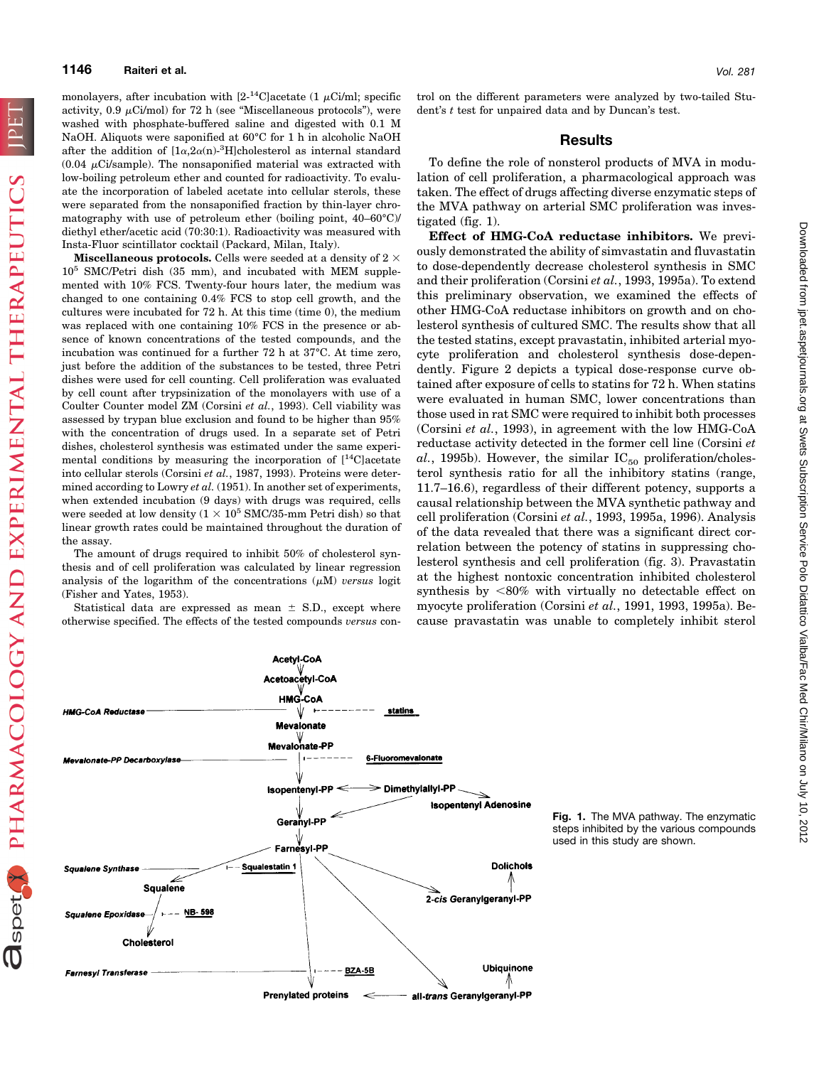PHARMACOLOGY AND EXPERIMENTAL THERAPEUTICS

**a**spet

monolayers, after incubation with  $[2^{-14}C]$ acetate (1  $\mu$ Ci/ml; specific activity, 0.9  $\mu$ Ci/mol) for 72 h (see "Miscellaneous protocols"), were washed with phosphate-buffered saline and digested with 0.1 M NaOH. Aliquots were saponified at 60°C for 1 h in alcoholic NaOH after the addition of  $[1\alpha, 2\alpha(n)^{-3}H]$ cholesterol as internal standard  $(0.04 \mu\text{Ci/sample})$ . The nonsaponified material was extracted with low-boiling petroleum ether and counted for radioactivity. To evaluate the incorporation of labeled acetate into cellular sterols, these were separated from the nonsaponified fraction by thin-layer chromatography with use of petroleum ether (boiling point, 40–60°C)/ diethyl ether/acetic acid (70:30:1). Radioactivity was measured with Insta-Fluor scintillator cocktail (Packard, Milan, Italy).

**Miscellaneous protocols.** Cells were seeded at a density of  $2 \times$  $10^5$  SMC/Petri dish (35 mm), and incubated with MEM supplemented with 10% FCS. Twenty-four hours later, the medium was changed to one containing 0.4% FCS to stop cell growth, and the cultures were incubated for 72 h. At this time (time 0), the medium was replaced with one containing 10% FCS in the presence or absence of known concentrations of the tested compounds, and the incubation was continued for a further 72 h at 37°C. At time zero, just before the addition of the substances to be tested, three Petri dishes were used for cell counting. Cell proliferation was evaluated by cell count after trypsinization of the monolayers with use of a Coulter Counter model ZM (Corsini *et al.*, 1993). Cell viability was assessed by trypan blue exclusion and found to be higher than 95% with the concentration of drugs used. In a separate set of Petri dishes, cholesterol synthesis was estimated under the same experimental conditions by measuring the incorporation of [14C]acetate into cellular sterols (Corsini *et al.*, 1987, 1993). Proteins were determined according to Lowry *et al.* (1951). In another set of experiments, when extended incubation (9 days) with drugs was required, cells were seeded at low density  $(1 \times 10^5 \text{ SMC}/35\text{-mm}$  Petri dish) so that linear growth rates could be maintained throughout the duration of the assay.

The amount of drugs required to inhibit 50% of cholesterol synthesis and of cell proliferation was calculated by linear regression analysis of the logarithm of the concentrations  $(\mu M)$  *versus* logit (Fisher and Yates, 1953).

Statistical data are expressed as mean  $\pm$  S.D., except where otherwise specified. The effects of the tested compounds *versus* control on the different parameters were analyzed by two-tailed Student's *t* test for unpaired data and by Duncan's test.

## **Results**

To define the role of nonsterol products of MVA in modulation of cell proliferation, a pharmacological approach was taken. The effect of drugs affecting diverse enzymatic steps of the MVA pathway on arterial SMC proliferation was investigated (fig. 1).

**Effect of HMG-CoA reductase inhibitors.** We previously demonstrated the ability of simvastatin and fluvastatin to dose-dependently decrease cholesterol synthesis in SMC and their proliferation (Corsini *et al.*, 1993, 1995a). To extend this preliminary observation, we examined the effects of other HMG-CoA reductase inhibitors on growth and on cholesterol synthesis of cultured SMC. The results show that all the tested statins, except pravastatin, inhibited arterial myocyte proliferation and cholesterol synthesis dose-dependently. Figure 2 depicts a typical dose-response curve obtained after exposure of cells to statins for 72 h. When statins were evaluated in human SMC, lower concentrations than those used in rat SMC were required to inhibit both processes (Corsini *et al.*, 1993), in agreement with the low HMG-CoA reductase activity detected in the former cell line (Corsini *et*  $al.$ , 1995b). However, the similar  $IC_{50}$  proliferation/cholesterol synthesis ratio for all the inhibitory statins (range, 11.7–16.6), regardless of their different potency, supports a causal relationship between the MVA synthetic pathway and cell proliferation (Corsini *et al.*, 1993, 1995a, 1996). Analysis of the data revealed that there was a significant direct correlation between the potency of statins in suppressing cholesterol synthesis and cell proliferation (fig. 3). Pravastatin at the highest nontoxic concentration inhibited cholesterol synthesis by  $<80\%$  with virtually no detectable effect on myocyte proliferation (Corsini *et al.*, 1991, 1993, 1995a). Because pravastatin was unable to completely inhibit sterol



**Fig. 1.** The MVA pathway. The enzymatic steps inhibited by the various compounds used in this study are shown.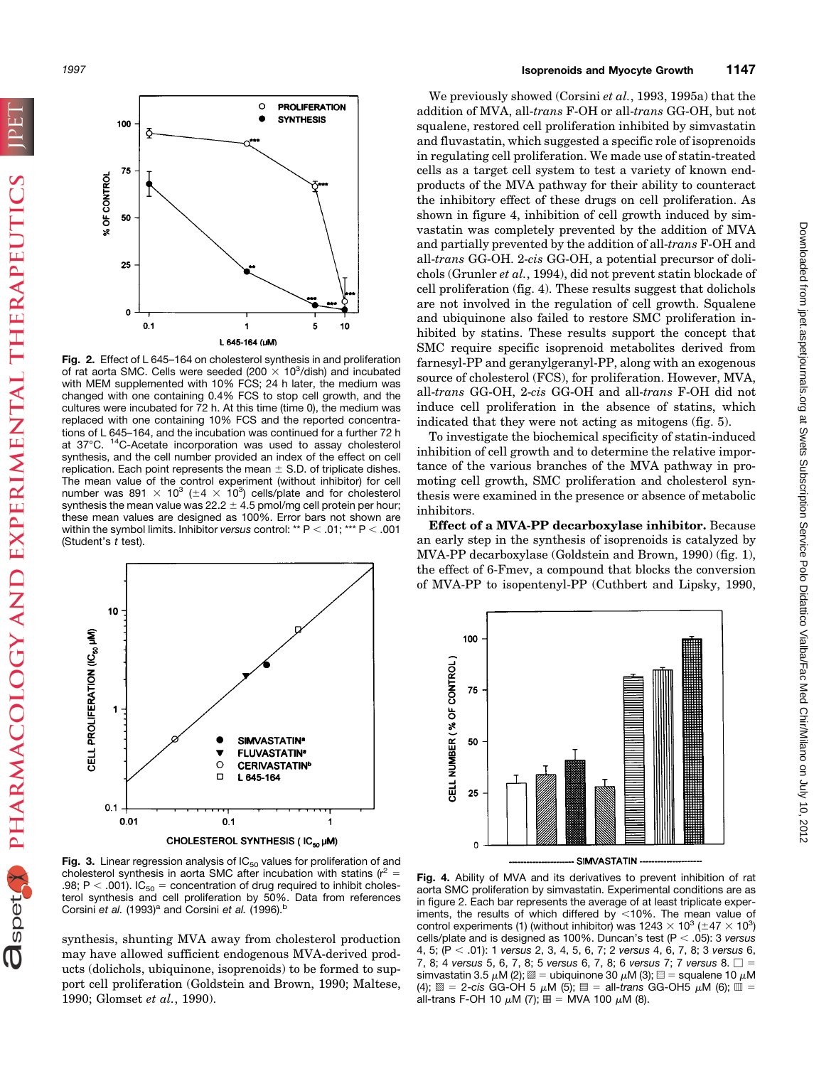**O**spet PHARMACOLOGY AND EXPERIMENTAL THERAPEUTICS



**Fig. 2.** Effect of L 645–164 on cholesterol synthesis in and proliferation of rat aorta SMC. Cells were seeded (200  $\times$  10<sup>3</sup>/dish) and incubated with MEM supplemented with 10% FCS; 24 h later, the medium was changed with one containing 0.4% FCS to stop cell growth, and the cultures were incubated for 72 h. At this time (time 0), the medium was replaced with one containing 10% FCS and the reported concentrations of L 645–164, and the incubation was continued for a further 72 h at 37°C. 14C-Acetate incorporation was used to assay cholesterol synthesis, and the cell number provided an index of the effect on cell replication. Each point represents the mean  $\pm$  S.D. of triplicate dishes. The mean value of the control experiment (without inhibitor) for cell number was 891  $\times$  10<sup>3</sup> ( $\pm$ 4  $\times$  10<sup>3</sup>) cells/plate and for cholesterol synthesis the mean value was  $22.2 \pm 4.5$  pmol/mg cell protein per hour; these mean values are designed as 100%. Error bars not shown are within the symbol limits. Inhibitor *versus* control: \*\*  $P < .01$ ; \*\*\*  $P < .001$ (Student's *t* test).



Fig. 3. Linear regression analysis of IC<sub>50</sub> values for proliferation of and cholesterol synthesis in aorta SMC after incubation with statins ( $r^2 =$ .98; P < .001).  $IC_{50}$  = concentration of drug required to inhibit cholesterol synthesis and cell proliferation by 50%. Data from references Corsini *et al.* (1993)<sup>a</sup> and Corsini *et al.* (1996).<sup>b</sup>

synthesis, shunting MVA away from cholesterol production may have allowed sufficient endogenous MVA-derived products (dolichols, ubiquinone, isoprenoids) to be formed to support cell proliferation (Goldstein and Brown, 1990; Maltese, 1990; Glomset *et al.*, 1990).

We previously showed (Corsini *et al.*, 1993, 1995a) that the addition of MVA, all-*trans* F-OH or all-*trans* GG-OH, but not squalene, restored cell proliferation inhibited by simvastatin and fluvastatin, which suggested a specific role of isoprenoids in regulating cell proliferation. We made use of statin-treated cells as a target cell system to test a variety of known endproducts of the MVA pathway for their ability to counteract the inhibitory effect of these drugs on cell proliferation. As shown in figure 4, inhibition of cell growth induced by simvastatin was completely prevented by the addition of MVA and partially prevented by the addition of all-*trans* F-OH and all-*trans* GG-OH. 2-*cis* GG-OH, a potential precursor of dolichols (Grunler *et al.*, 1994), did not prevent statin blockade of cell proliferation (fig. 4). These results suggest that dolichols are not involved in the regulation of cell growth. Squalene and ubiquinone also failed to restore SMC proliferation inhibited by statins. These results support the concept that SMC require specific isoprenoid metabolites derived from farnesyl-PP and geranylgeranyl-PP, along with an exogenous source of cholesterol (FCS), for proliferation. However, MVA, all-*trans* GG-OH, 2-*cis* GG-OH and all-*trans* F-OH did not induce cell proliferation in the absence of statins, which indicated that they were not acting as mitogens (fig. 5).

To investigate the biochemical specificity of statin-induced inhibition of cell growth and to determine the relative importance of the various branches of the MVA pathway in promoting cell growth, SMC proliferation and cholesterol synthesis were examined in the presence or absence of metabolic inhibitors.

**Effect of a MVA-PP decarboxylase inhibitor.** Because an early step in the synthesis of isoprenoids is catalyzed by MVA-PP decarboxylase (Goldstein and Brown, 1990) (fig. 1), the effect of 6-Fmev, a compound that blocks the conversion of MVA-PP to isopentenyl-PP (Cuthbert and Lipsky, 1990,



**Fig. 4.** Ability of MVA and its derivatives to prevent inhibition of rat aorta SMC proliferation by simvastatin. Experimental conditions are as in figure 2. Each bar represents the average of at least triplicate experiments, the results of which differed by  $\lt$ 10%. The mean value of control experiments (1) (without inhibitor) was 1243  $\times$  10<sup>3</sup> ( $\pm$ 47  $\times$  10<sup>3</sup>) cells/plate and is designed as 100%. Duncan's test (P < .05): 3 *versus* 4, 5; (P , .01): 1 *versus* 2, 3, 4, 5, 6, 7; 2 *versus* 4, 6, 7, 8; 3 *versus* 6, 7, 8; 4 *versus* 5, 6, 7, 8; 5 *versus* 6, 7, 8; 6 *versus* 7; 7 *versus* 8.  $\square$  = simvastatin 3.5  $\mu$ M (2);  $\mathbb{Z} =$  ubiquinone 30  $\mu$ M (3);  $\mathbb{Z} =$  squalene 10  $\mu$ M  $(4)$ ;  $\mathbb{S} = 2$ -cis GG-OH 5  $\mu$ M (5);  $\mathbb{I} =$  all-*trans* GG-OH5  $\mu$ M (6);  $\mathbb{I} =$ all-trans F-OH 10  $\mu$ M (7);  $\equiv$  = MVA 100  $\mu$ M (8).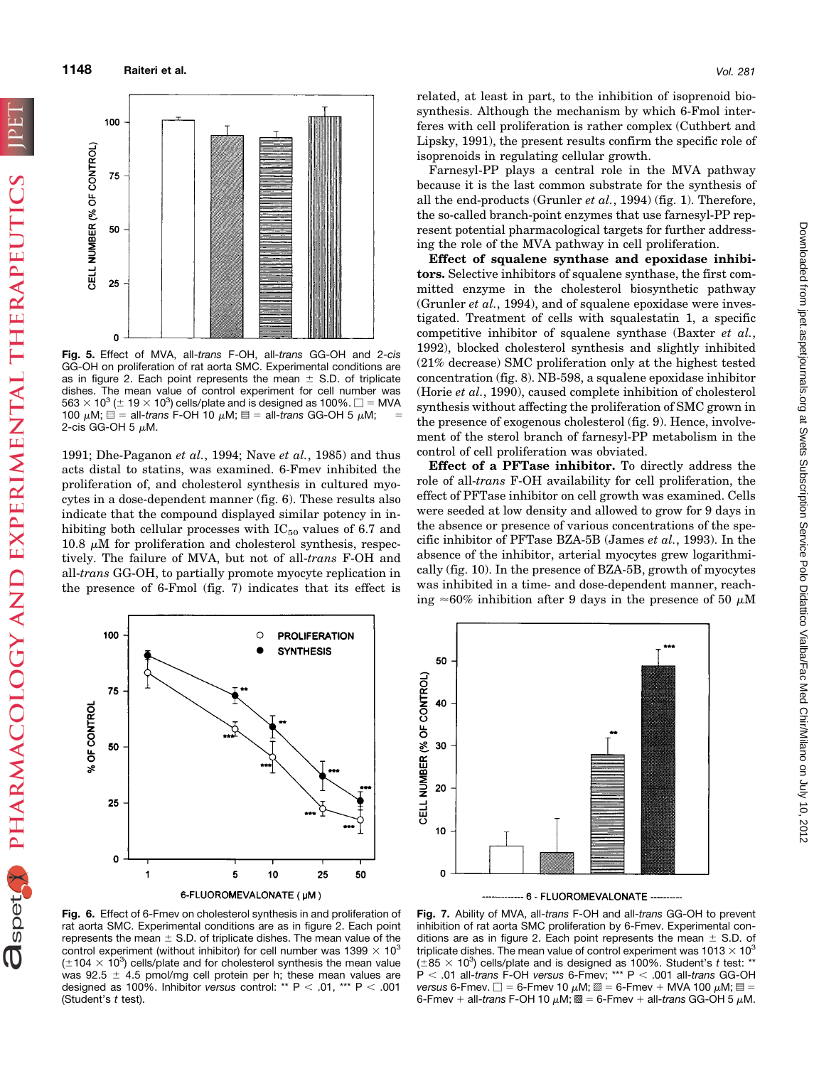Ospet PHARMACOLOGY AND EXPERIMENTAL THERAPEUTICS



**Fig. 5.** Effect of MVA, all-*trans* F-OH, all-*trans* GG-OH and 2-*cis* GG-OH on proliferation of rat aorta SMC. Experimental conditions are as in figure 2. Each point represents the mean  $\pm$  S.D. of triplicate dishes. The mean value of control experiment for cell number was  $563 \times 10^3$  ( $\pm 19 \times 10^3$ ) cells/plate and is designed as 100%.  $\square$  = MVA 100  $\mu$ M;  $\equiv$  = all-*trans* F-OH 10  $\mu$ M;  $\equiv$  = all-*trans* GG-OH 5  $\mu$ M; 2-cis GG-OH 5  $\mu$ M.

1991; Dhe-Paganon *et al.*, 1994; Nave *et al.*, 1985) and thus acts distal to statins, was examined. 6-Fmev inhibited the proliferation of, and cholesterol synthesis in cultured myocytes in a dose-dependent manner (fig. 6). These results also indicate that the compound displayed similar potency in inhibiting both cellular processes with  $IC_{50}$  values of 6.7 and  $10.8 \mu$ M for proliferation and cholesterol synthesis, respectively. The failure of MVA, but not of all-*trans* F-OH and all-*trans* GG-OH, to partially promote myocyte replication in the presence of 6-Fmol (fig. 7) indicates that its effect is related, at least in part, to the inhibition of isoprenoid biosynthesis. Although the mechanism by which 6-Fmol interferes with cell proliferation is rather complex (Cuthbert and Lipsky, 1991), the present results confirm the specific role of isoprenoids in regulating cellular growth.

Farnesyl-PP plays a central role in the MVA pathway because it is the last common substrate for the synthesis of all the end-products (Grunler *et al.*, 1994) (fig. 1). Therefore, the so-called branch-point enzymes that use farnesyl-PP represent potential pharmacological targets for further addressing the role of the MVA pathway in cell proliferation.

**Effect of squalene synthase and epoxidase inhibitors.** Selective inhibitors of squalene synthase, the first committed enzyme in the cholesterol biosynthetic pathway (Grunler *et al.*, 1994), and of squalene epoxidase were investigated. Treatment of cells with squalestatin 1, a specific competitive inhibitor of squalene synthase (Baxter *et al.*, 1992), blocked cholesterol synthesis and slightly inhibited (21% decrease) SMC proliferation only at the highest tested concentration (fig. 8). NB-598, a squalene epoxidase inhibitor (Horie *et al.*, 1990), caused complete inhibition of cholesterol synthesis without affecting the proliferation of SMC grown in the presence of exogenous cholesterol (fig. 9). Hence, involvement of the sterol branch of farnesyl-PP metabolism in the control of cell proliferation was obviated.

**Effect of a PFTase inhibitor.** To directly address the role of all-*trans* F-OH availability for cell proliferation, the effect of PFTase inhibitor on cell growth was examined. Cells were seeded at low density and allowed to grow for 9 days in the absence or presence of various concentrations of the specific inhibitor of PFTase BZA-5B (James *et al.*, 1993). In the absence of the inhibitor, arterial myocytes grew logarithmically (fig. 10). In the presence of BZA-5B, growth of myocytes was inhibited in a time- and dose-dependent manner, reaching  $\approx 60\%$  inhibition after 9 days in the presence of 50  $\mu$ M





-- 6 - FLUOROMEVALONATE ---**Fig. 7.** Ability of MVA, all-*trans* F-OH and all-*trans* GG-OH to prevent

inhibition of rat aorta SMC proliferation by 6-Fmev. Experimental conditions are as in figure 2. Each point represents the mean  $\pm$  S.D. of triplicate dishes. The mean value of control experiment was 1013  $\times$  10<sup>3</sup>  $(\pm 85 \times 10^3)$  cells/plate and is designed as 100%. Student's t test: \*\* P , .01 all-*trans* F-OH *versus* 6-Fmev; \*\*\* P , .001 all-*trans* GG-OH *versus* 6-Fmev.  $\Box$  = 6-Fmev 10  $\mu$ M;  $\mathbb{Z}$  = 6-Fmev + MVA 100  $\mu$ M;  $\mathbb{E}$  = 6-Fmev + all-*trans* F-OH 10  $\mu$ M;  $\mathbb{R} = 6$ -Fmev + all-*trans* GG-OH 5  $\mu$ M.

**Fig. 6.** Effect of 6-Fmev on cholesterol synthesis in and proliferation of rat aorta SMC. Experimental conditions are as in figure 2. Each point represents the mean  $\pm$  S.D. of triplicate dishes. The mean value of the control experiment (without inhibitor) for cell number was 1399  $\times$  10<sup>3</sup>  $(\pm 104 \times 10^3)$  cells/plate and for cholesterol synthesis the mean value was 92.5  $\pm$  4.5 pmol/mg cell protein per h; these mean values are designed as 100%. Inhibitor *versus* control: \*\*  $P < .01$ , \*\*\*  $P < .001$ (Student's *t* test).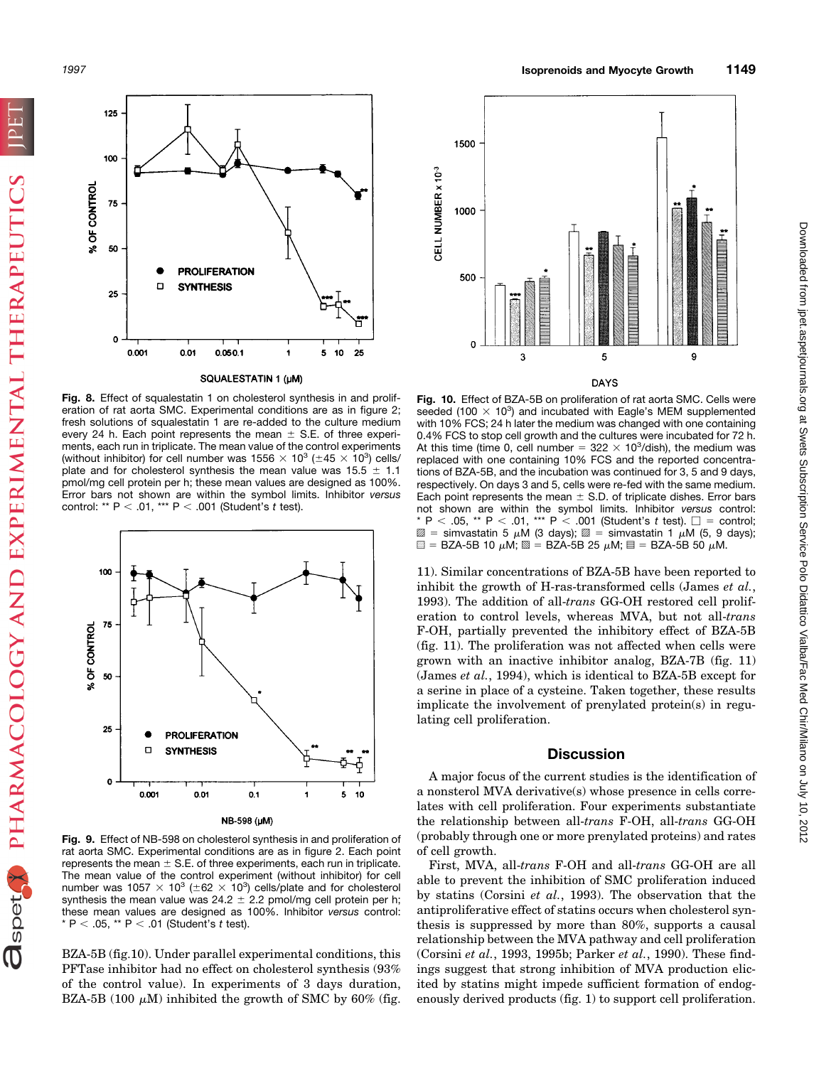OspetA PHARMACOLOGY AND EXPERIMENTAL THERAPEUTICS



#### SQUALESTATIN 1 (µM)

**Fig. 8.** Effect of squalestatin 1 on cholesterol synthesis in and proliferation of rat aorta SMC. Experimental conditions are as in figure 2; fresh solutions of squalestatin 1 are re-added to the culture medium every 24 h. Each point represents the mean  $\pm$  S.E. of three experiments, each run in triplicate. The mean value of the control experiments (without inhibitor) for cell number was 1556  $\times$  10<sup>3</sup> ( $\pm$ 45  $\times$  10<sup>3</sup>) cells/ plate and for cholesterol synthesis the mean value was  $15.5 \pm 1.1$ pmol/mg cell protein per h; these mean values are designed as 100%. Error bars not shown are within the symbol limits. Inhibitor *versus* control: \*\* P < .01, \*\*\* P < .001 (Student's *t* test).



**Fig. 9.** Effect of NB-598 on cholesterol synthesis in and proliferation of rat aorta SMC. Experimental conditions are as in figure 2. Each point represents the mean  $\pm$  S.E. of three experiments, each run in triplicate. The mean value of the control experiment (without inhibitor) for cell number was 1057  $\times$  10<sup>3</sup> ( $\pm$ 62  $\times$  10<sup>3</sup>) cells/plate and for cholesterol synthesis the mean value was  $24.2 \pm 2.2$  pmol/mg cell protein per h; these mean values are designed as 100%. Inhibitor *versus* control:  $*$  P < .05,  $*$  P < .01 (Student's *t* test).

BZA-5B (fig.10). Under parallel experimental conditions, this PFTase inhibitor had no effect on cholesterol synthesis (93% of the control value). In experiments of 3 days duration, BZA-5B (100  $\mu$ M) inhibited the growth of SMC by 60% (fig.



#### **DAYS**

**Fig. 10.** Effect of BZA-5B on proliferation of rat aorta SMC. Cells were seeded (100  $\times$  10<sup>3</sup>) and incubated with Eagle's MEM supplemented with 10% FCS; 24 h later the medium was changed with one containing 0.4% FCS to stop cell growth and the cultures were incubated for 72 h. At this time (time 0, cell number =  $322 \times 10^3$ /dish), the medium was replaced with one containing 10% FCS and the reported concentrations of BZA-5B, and the incubation was continued for 3, 5 and 9 days, respectively. On days 3 and 5, cells were re-fed with the same medium. Each point represents the mean  $\pm$  S.D. of triplicate dishes. Error bars not shown are within the symbol limits. Inhibitor *versus* control: \* P < .05, \*\* P < .01, \*\*\* P < .001 (Student's *t* test).  $\square$  = control;  $\mathbb{Z}$  = simvastatin 5  $\mu$ M (3 days);  $\mathbb{Z}$  = simvastatin 1  $\mu$ M (5, 9 days);  $\blacksquare$  = BZA-5B 10 μM;  $\blacksquare$  = BZA-5B 25 μM;  $\blacksquare$  = BZA-5B 50 μM.

11). Similar concentrations of BZA-5B have been reported to inhibit the growth of H-ras-transformed cells (James *et al.*, 1993). The addition of all-*trans* GG-OH restored cell proliferation to control levels, whereas MVA, but not all-*trans* F-OH, partially prevented the inhibitory effect of BZA-5B (fig. 11). The proliferation was not affected when cells were grown with an inactive inhibitor analog, BZA-7B (fig. 11) (James *et al.*, 1994), which is identical to BZA-5B except for a serine in place of a cysteine. Taken together, these results implicate the involvement of prenylated protein(s) in regulating cell proliferation.

# **Discussion**

A major focus of the current studies is the identification of a nonsterol MVA derivative(s) whose presence in cells correlates with cell proliferation. Four experiments substantiate the relationship between all-*trans* F-OH, all-*trans* GG-OH (probably through one or more prenylated proteins) and rates of cell growth.

First, MVA, all-*trans* F-OH and all-*trans* GG-OH are all able to prevent the inhibition of SMC proliferation induced by statins (Corsini *et al.*, 1993). The observation that the antiproliferative effect of statins occurs when cholesterol synthesis is suppressed by more than 80%, supports a causal relationship between the MVA pathway and cell proliferation (Corsini *et al.*, 1993, 1995b; Parker *et al.*, 1990). These findings suggest that strong inhibition of MVA production elicited by statins might impede sufficient formation of endogenously derived products (fig. 1) to support cell proliferation.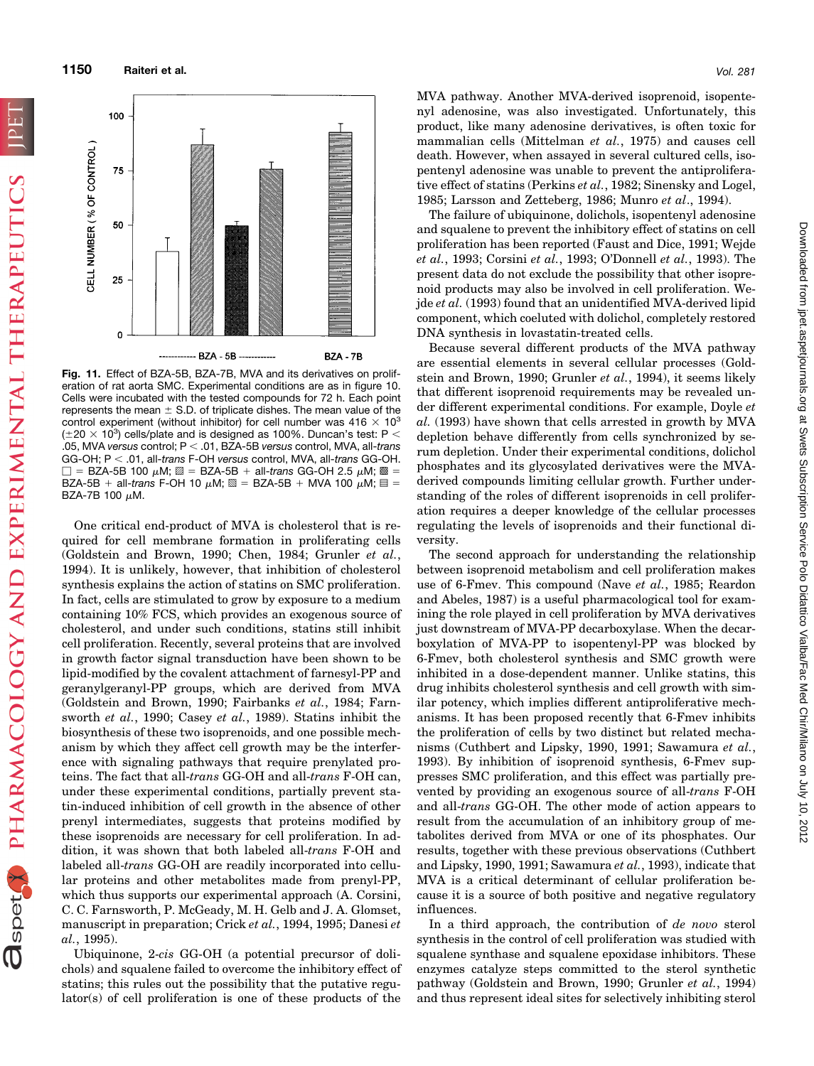**1150 Raiteri et al.** *Vol. 281*

CELL NUMBER (% OF CONTROL

50

25

o

100 75



**BZA - 7B** 

**Fig. 11.** Effect of BZA-5B, BZA-7B, MVA and its derivatives on proliferation of rat aorta SMC. Experimental conditions are as in figure 10. Cells were incubated with the tested compounds for 72 h. Each point represents the mean  $\pm$  S.D. of triplicate dishes. The mean value of the control experiment (without inhibitor) for cell number was  $416 \times 10^3$ ( $\pm 20 \times 10^3$ ) cells/plate and is designed as 100%. Duncan's test: P < .05, MVA *versus* control; P , .01, BZA-5B *versus* control, MVA, all-*trans* GG-OH; P , .01, all-*trans* F-OH *versus* control, MVA, all-*trans* GG-OH.  $\Box$  = BZA-5B 100  $\mu$ M;  $\mathbb{Z}$  = BZA-5B + all-*trans* GG-OH 2.5  $\mu$ M;  $\mathbb{Z}$  = BZA-5B + all-*trans* F-OH 10  $\mu$ M;  $\mathbb{S} = BZA-5B + MVA$  100  $\mu$ M;  $\mathbb{S} =$ BZA-7B 100  $\mu$ M.

- BZA - 5B

One critical end-product of MVA is cholesterol that is required for cell membrane formation in proliferating cells (Goldstein and Brown, 1990; Chen, 1984; Grunler *et al.*, 1994). It is unlikely, however, that inhibition of cholesterol synthesis explains the action of statins on SMC proliferation. In fact, cells are stimulated to grow by exposure to a medium containing 10% FCS, which provides an exogenous source of cholesterol, and under such conditions, statins still inhibit cell proliferation. Recently, several proteins that are involved in growth factor signal transduction have been shown to be lipid-modified by the covalent attachment of farnesyl-PP and geranylgeranyl-PP groups, which are derived from MVA (Goldstein and Brown, 1990; Fairbanks *et al.*, 1984; Farnsworth *et al.*, 1990; Casey *et al.*, 1989). Statins inhibit the biosynthesis of these two isoprenoids, and one possible mechanism by which they affect cell growth may be the interference with signaling pathways that require prenylated proteins. The fact that all-*trans* GG-OH and all-*trans* F-OH can, under these experimental conditions, partially prevent statin-induced inhibition of cell growth in the absence of other prenyl intermediates, suggests that proteins modified by these isoprenoids are necessary for cell proliferation. In addition, it was shown that both labeled all-*trans* F-OH and labeled all-*trans* GG-OH are readily incorporated into cellular proteins and other metabolites made from prenyl-PP, which thus supports our experimental approach (A. Corsini, C. C. Farnsworth, P. McGeady, M. H. Gelb and J. A. Glomset, manuscript in preparation; Crick *et al.*, 1994, 1995; Danesi *et al.*, 1995).

Ubiquinone, 2-*cis* GG-OH (a potential precursor of dolichols) and squalene failed to overcome the inhibitory effect of statins; this rules out the possibility that the putative regulator(s) of cell proliferation is one of these products of the

MVA pathway. Another MVA-derived isoprenoid, isopentenyl adenosine, was also investigated. Unfortunately, this product, like many adenosine derivatives, is often toxic for mammalian cells (Mittelman *et al.*, 1975) and causes cell death. However, when assayed in several cultured cells, isopentenyl adenosine was unable to prevent the antiproliferative effect of statins (Perkins *et al.*, 1982; Sinensky and Logel, 1985; Larsson and Zetteberg, 1986; Munro *et al*., 1994).

The failure of ubiquinone, dolichols, isopentenyl adenosine and squalene to prevent the inhibitory effect of statins on cell proliferation has been reported (Faust and Dice, 1991; Wejde *et al.*, 1993; Corsini *et al.*, 1993; O'Donnell *et al.*, 1993). The present data do not exclude the possibility that other isoprenoid products may also be involved in cell proliferation. Wejde *et al.* (1993) found that an unidentified MVA-derived lipid component, which coeluted with dolichol, completely restored DNA synthesis in lovastatin-treated cells.

Because several different products of the MVA pathway are essential elements in several cellular processes (Goldstein and Brown, 1990; Grunler *et al.*, 1994), it seems likely that different isoprenoid requirements may be revealed under different experimental conditions. For example, Doyle *et al.* (1993) have shown that cells arrested in growth by MVA depletion behave differently from cells synchronized by serum depletion. Under their experimental conditions, dolichol phosphates and its glycosylated derivatives were the MVAderived compounds limiting cellular growth. Further understanding of the roles of different isoprenoids in cell proliferation requires a deeper knowledge of the cellular processes regulating the levels of isoprenoids and their functional diversity.

The second approach for understanding the relationship between isoprenoid metabolism and cell proliferation makes use of 6-Fmev. This compound (Nave *et al.*, 1985; Reardon and Abeles, 1987) is a useful pharmacological tool for examining the role played in cell proliferation by MVA derivatives just downstream of MVA-PP decarboxylase. When the decarboxylation of MVA-PP to isopentenyl-PP was blocked by 6-Fmev, both cholesterol synthesis and SMC growth were inhibited in a dose-dependent manner. Unlike statins, this drug inhibits cholesterol synthesis and cell growth with similar potency, which implies different antiproliferative mechanisms. It has been proposed recently that 6-Fmev inhibits the proliferation of cells by two distinct but related mechanisms (Cuthbert and Lipsky, 1990, 1991; Sawamura *et al.*, 1993). By inhibition of isoprenoid synthesis, 6-Fmev suppresses SMC proliferation, and this effect was partially prevented by providing an exogenous source of all-*trans* F-OH and all-*trans* GG-OH. The other mode of action appears to result from the accumulation of an inhibitory group of metabolites derived from MVA or one of its phosphates. Our results, together with these previous observations (Cuthbert and Lipsky, 1990, 1991; Sawamura *et al.*, 1993), indicate that MVA is a critical determinant of cellular proliferation because it is a source of both positive and negative regulatory influences.

In a third approach, the contribution of *de novo* sterol synthesis in the control of cell proliferation was studied with squalene synthase and squalene epoxidase inhibitors. These enzymes catalyze steps committed to the sterol synthetic pathway (Goldstein and Brown, 1990; Grunler *et al.*, 1994) and thus represent ideal sites for selectively inhibiting sterol

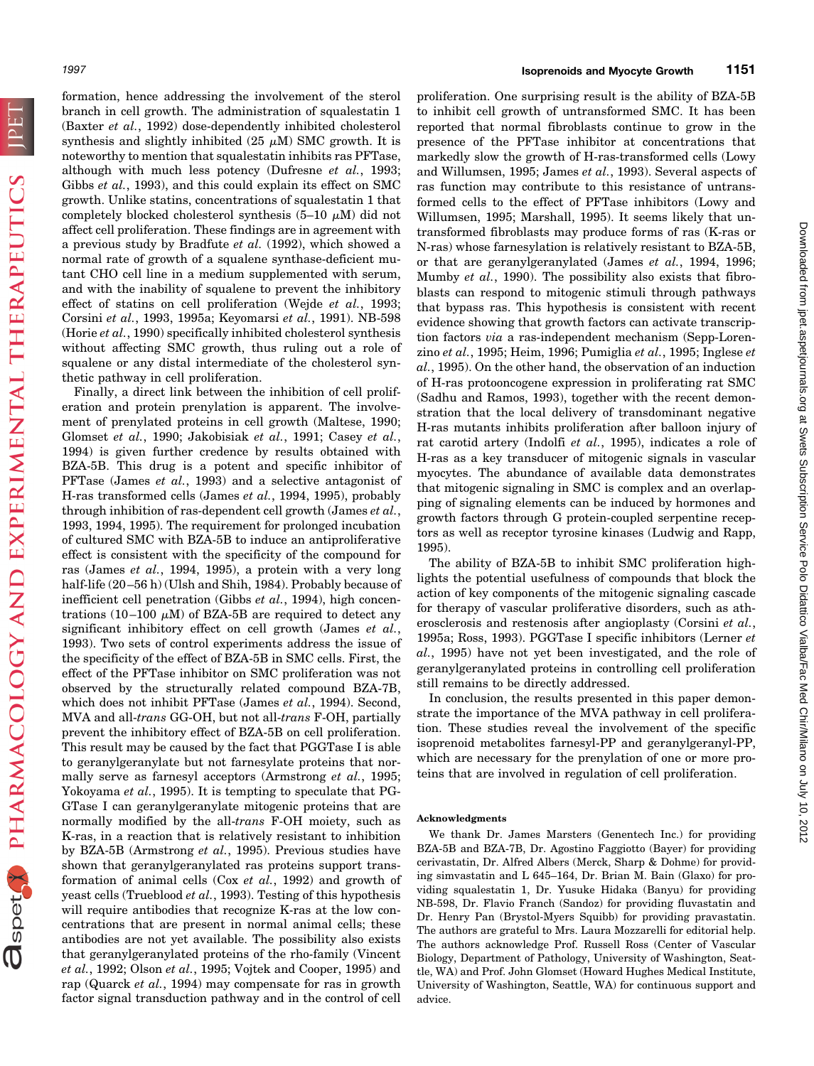**FUI** 

Ospet PHARMACOLOGY AND EXPERIMENTAL THERAPEUTICS

formation, hence addressing the involvement of the sterol branch in cell growth. The administration of squalestatin 1 (Baxter *et al.*, 1992) dose-dependently inhibited cholesterol synthesis and slightly inhibited (25  $\mu$ M) SMC growth. It is noteworthy to mention that squalestatin inhibits ras PFTase, although with much less potency (Dufresne *et al.*, 1993; Gibbs *et al.*, 1993), and this could explain its effect on SMC growth. Unlike statins, concentrations of squalestatin 1 that completely blocked cholesterol synthesis  $(5-10 \mu M)$  did not affect cell proliferation. These findings are in agreement with a previous study by Bradfute *et al.* (1992), which showed a normal rate of growth of a squalene synthase-deficient mutant CHO cell line in a medium supplemented with serum, and with the inability of squalene to prevent the inhibitory effect of statins on cell proliferation (Wejde *et al.*, 1993; Corsini *et al.*, 1993, 1995a; Keyomarsi *et al.*, 1991). NB-598 (Horie *et al.*, 1990) specifically inhibited cholesterol synthesis without affecting SMC growth, thus ruling out a role of squalene or any distal intermediate of the cholesterol synthetic pathway in cell proliferation.

Finally, a direct link between the inhibition of cell proliferation and protein prenylation is apparent. The involvement of prenylated proteins in cell growth (Maltese, 1990; Glomset *et al.*, 1990; Jakobisiak *et al.*, 1991; Casey *et al.*, 1994) is given further credence by results obtained with BZA-5B. This drug is a potent and specific inhibitor of PFTase (James *et al.*, 1993) and a selective antagonist of H-ras transformed cells (James *et al.*, 1994, 1995), probably through inhibition of ras-dependent cell growth (James *et al.*, 1993, 1994, 1995). The requirement for prolonged incubation of cultured SMC with BZA-5B to induce an antiproliferative effect is consistent with the specificity of the compound for ras (James *et al.*, 1994, 1995), a protein with a very long half-life (20–56 h) (Ulsh and Shih, 1984). Probably because of inefficient cell penetration (Gibbs *et al.*, 1994), high concentrations (10–100  $\mu$ M) of BZA-5B are required to detect any significant inhibitory effect on cell growth (James *et al.*, 1993). Two sets of control experiments address the issue of the specificity of the effect of BZA-5B in SMC cells. First, the effect of the PFTase inhibitor on SMC proliferation was not observed by the structurally related compound BZA-7B, which does not inhibit PFTase (James *et al.*, 1994). Second, MVA and all-*trans* GG-OH, but not all-*trans* F-OH, partially prevent the inhibitory effect of BZA-5B on cell proliferation. This result may be caused by the fact that PGGTase I is able to geranylgeranylate but not farnesylate proteins that normally serve as farnesyl acceptors (Armstrong *et al.*, 1995; Yokoyama *et al.*, 1995). It is tempting to speculate that PG-GTase I can geranylgeranylate mitogenic proteins that are normally modified by the all-*trans* F-OH moiety, such as K-ras, in a reaction that is relatively resistant to inhibition by BZA-5B (Armstrong *et al.*, 1995). Previous studies have shown that geranylgeranylated ras proteins support transformation of animal cells (Cox *et al.*, 1992) and growth of yeast cells (Trueblood *et al.*, 1993). Testing of this hypothesis will require antibodies that recognize K-ras at the low concentrations that are present in normal animal cells; these antibodies are not yet available. The possibility also exists that geranylgeranylated proteins of the rho-family (Vincent *et al.*, 1992; Olson *et al.*, 1995; Vojtek and Cooper, 1995) and rap (Quarck *et al.*, 1994) may compensate for ras in growth factor signal transduction pathway and in the control of cell

proliferation. One surprising result is the ability of BZA-5B to inhibit cell growth of untransformed SMC. It has been reported that normal fibroblasts continue to grow in the presence of the PFTase inhibitor at concentrations that markedly slow the growth of H-ras-transformed cells (Lowy and Willumsen, 1995; James *et al.*, 1993). Several aspects of ras function may contribute to this resistance of untransformed cells to the effect of PFTase inhibitors (Lowy and Willumsen, 1995; Marshall, 1995). It seems likely that untransformed fibroblasts may produce forms of ras (K-ras or N-ras) whose farnesylation is relatively resistant to BZA-5B, or that are geranylgeranylated (James *et al.*, 1994, 1996; Mumby *et al.*, 1990). The possibility also exists that fibroblasts can respond to mitogenic stimuli through pathways that bypass ras. This hypothesis is consistent with recent evidence showing that growth factors can activate transcription factors *via* a ras-independent mechanism (Sepp-Lorenzino *et al.*, 1995; Heim, 1996; Pumiglia *et al.*, 1995; Inglese *et al.*, 1995). On the other hand, the observation of an induction of H-ras protooncogene expression in proliferating rat SMC (Sadhu and Ramos, 1993), together with the recent demonstration that the local delivery of transdominant negative H-ras mutants inhibits proliferation after balloon injury of rat carotid artery (Indolfi *et al.*, 1995), indicates a role of H-ras as a key transducer of mitogenic signals in vascular myocytes. The abundance of available data demonstrates that mitogenic signaling in SMC is complex and an overlapping of signaling elements can be induced by hormones and growth factors through G protein-coupled serpentine receptors as well as receptor tyrosine kinases (Ludwig and Rapp, 1995).

The ability of BZA-5B to inhibit SMC proliferation highlights the potential usefulness of compounds that block the action of key components of the mitogenic signaling cascade for therapy of vascular proliferative disorders, such as atherosclerosis and restenosis after angioplasty (Corsini *et al.*, 1995a; Ross, 1993). PGGTase I specific inhibitors (Lerner *et al.*, 1995) have not yet been investigated, and the role of geranylgeranylated proteins in controlling cell proliferation still remains to be directly addressed.

In conclusion, the results presented in this paper demonstrate the importance of the MVA pathway in cell proliferation. These studies reveal the involvement of the specific isoprenoid metabolites farnesyl-PP and geranylgeranyl-PP, which are necessary for the prenylation of one or more proteins that are involved in regulation of cell proliferation.

#### **Acknowledgments**

We thank Dr. James Marsters (Genentech Inc.) for providing BZA-5B and BZA-7B, Dr. Agostino Faggiotto (Bayer) for providing cerivastatin, Dr. Alfred Albers (Merck, Sharp & Dohme) for providing simvastatin and L 645–164, Dr. Brian M. Bain (Glaxo) for providing squalestatin 1, Dr. Yusuke Hidaka (Banyu) for providing NB-598, Dr. Flavio Franch (Sandoz) for providing fluvastatin and Dr. Henry Pan (Brystol-Myers Squibb) for providing pravastatin. The authors are grateful to Mrs. Laura Mozzarelli for editorial help. The authors acknowledge Prof. Russell Ross (Center of Vascular Biology, Department of Pathology, University of Washington, Seattle, WA) and Prof. John Glomset (Howard Hughes Medical Institute, University of Washington, Seattle, WA) for continuous support and advice.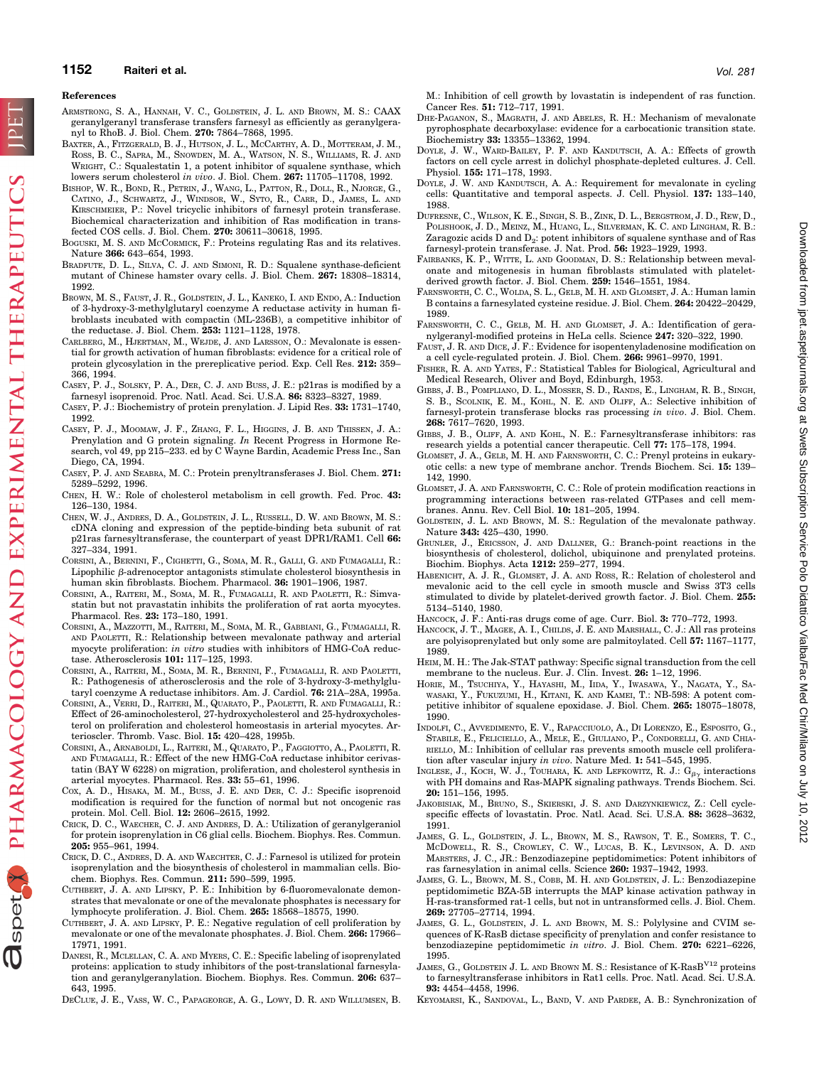## **1152 Raiteri et al.** *Vol. 281*

#### **References**

- ARMSTRONG, S. A., HANNAH, V. C., GOLDSTEIN, J. L. AND BROWN, M. S.: CAAX geranylgeranyl transferase transfers farnesyl as efficiently as geranylgeranyl to RhoB. J. Biol. Chem. **270:** 7864–7868, 1995.
- BAXTER, A., FITZGERALD, B. J., HUTSON, J. L., MCCARTHY, A. D., MOTTERAM, J. M., ROSS, B. C., SAPRA, M., SNOWDEN, M. A., WATSON, N. S., WILLIAMS, R. J. AND WRIGHT, C.: Squalestatin 1, a potent inhibitor of squalene synthase, which lowers serum cholesterol *in vivo*. J. Biol. Chem. **267:** 11705–11708, 1992.
- BISHOP, W. R., BOND, R., PETRIN, J., WANG, L., PATTON, R., DOLL, R., NJORGE, G., CATINO, J., SCHWARTZ, J., WINDSOR, W., SYTO, R., CARR, D., JAMES, L. AND KIRSCHMEIER, P.: Novel tricyclic inhibitors of farnesyl protein transferase. Biochemical characterization and inhibition of Ras modification in transfected COS cells. J. Biol. Chem. **270:** 30611–30618, 1995.
- BOGUSKI, M. S. AND MCCORMICK, F.: Proteins regulating Ras and its relatives. Nature **366:** 643–654, 1993.
- BRADFUTE, D. L., SILVA, C. J. AND SIMONI, R. D.: Squalene synthase-deficient mutant of Chinese hamster ovary cells. J. Biol. Chem. **267:** 18308–18314, 1992.
- BROWN, M. S., FAUST, J. R., GOLDSTEIN, J. L., KANEKO, I. AND ENDO, A.: Induction of 3-hydroxy-3-methylglutaryl coenzyme A reductase activity in human fibroblasts incubated with compactin (ML-236B), a competitive inhibitor of the reductase. J. Biol. Chem. **253:** 1121–1128, 1978.
- CARLBERG, M., HJERTMAN, M., WEJDE, J. AND LARSSON, O.: Mevalonate is essential for growth activation of human fibroblasts: evidence for a critical role of protein glycosylation in the prereplicative period. Exp. Cell Res. **212:** 359– 366, 1994.
- CASEY, P. J., SOLSKY, P. A., DER, C. J. AND BUSS, J. E.: p21ras is modified by a farnesyl isoprenoid. Proc. Natl. Acad. Sci. U.S.A. **86:** 8323–8327, 1989.
- CASEY, P. J.: Biochemistry of protein prenylation. J. Lipid Res. **33:** 1731–1740, 1992.
- CASEY, P. J., MOOMAW, J. F., ZHANG, F. L., HIGGINS, J. B. AND THISSEN, J. A.: Prenylation and G protein signaling. *In* Recent Progress in Hormone Research, vol 49, pp 215–233. ed by C Wayne Bardin, Academic Press Inc., San Diego, CA, 1994.
- CASEY, P. J. AND SEABRA, M. C.: Protein prenyltransferases J. Biol. Chem. **271:** 5289–5292, 1996.
- CHEN, H. W.: Role of cholesterol metabolism in cell growth. Fed. Proc. **43:** 126–130, 1984.
- CHEN, W. J., ANDRES, D. A., GOLDSTEIN, J. L., RUSSELL, D. W. AND BROWN, M. S.: cDNA cloning and expression of the peptide-binding beta subunit of rat p21ras farnesyltransferase, the counterpart of yeast DPR1/RAM1. Cell **66:** 327–334, 1991.
- CORSINI, A., BERNINI, F., CIGHETTI, G., SOMA, M. R., GALLI, G. AND FUMAGALLI, R.: Lipophilic  $\beta$ -adrenoceptor antagonists stimulate cholesterol biosynthesis in human skin fibroblasts. Biochem. Pharmacol. **36:** 1901–1906, 1987.
- CORSINI, A., RAITERI, M., SOMA, M. R., FUMAGALLI, R. AND PAOLETTI, R.: Simvastatin but not pravastatin inhibits the proliferation of rat aorta myocytes. Pharmacol. Res. **23:** 173–180, 1991.
- CORSINI, A., MAZZOTTI, M., RAITERI, M., SOMA, M. R., GABBIANI, G., FUMAGALLI, R. AND PAOLETTI, R.: Relationship between mevalonate pathway and arterial myocyte proliferation: *in vitro* studies with inhibitors of HMG-CoA reductase. Atherosclerosis **101:** 117–125, 1993.
- CORSINI, A., RAITERI, M., SOMA, M. R., BERNINI, F., FUMAGALLI, R. AND PAOLETTI, R.: Pathogenesis of atherosclerosis and the role of 3-hydroxy-3-methylglutaryl coenzyme A reductase inhibitors. Am. J. Cardiol. **76:** 21A–28A, 1995a.
- CORSINI, A., VERRI, D., RAITERI, M., QUARATO, P., PAOLETTI, R. AND FUMAGALLI, R.: Effect of 26-aminocholesterol, 27-hydroxycholesterol and 25-hydroxycholesterol on proliferation and cholesterol homeostasis in arterial myocytes. Arterioscler. Thromb. Vasc. Biol. **15:** 420–428, 1995b.
- CORSINI, A., ARNABOLDI, L., RAITERI, M., QUARATO, P., FAGGIOTTO, A., PAOLETTI, R. AND FUMAGALLI, R.: Effect of the new HMG-CoA reductase inhibitor cerivastatin (BAY W 6228) on migration, proliferation, and cholesterol synthesis in arterial myocytes. Pharmacol. Res. **33:** 55–61, 1996.
- COX, A. D., HISAKA, M. M., BUSS, J. E. AND DER, C. J.: Specific isoprenoid modification is required for the function of normal but not oncogenic ras protein. Mol. Cell. Biol. **12:** 2606–2615, 1992.
- CRICK, D. C., WAECHER, C. J. AND ANDRES, D. A.: Utilization of geranylgeraniol for protein isoprenylation in C6 glial cells. Biochem. Biophys. Res. Commun. **205:** 955–961, 1994.
- CRICK, D. C., ANDRES, D. A. AND WAECHTER, C. J.: Farnesol is utilized for protein isoprenylation and the biosynthesis of cholesterol in mammalian cells. Biochem. Biophys. Res. Commun. **211:** 590–599, 1995.
- CUTHBERT, J. A. AND LIPSKY, P. E.: Inhibition by 6-fluoromevalonate demonstrates that mevalonate or one of the mevalonate phosphates is necessary for lymphocyte proliferation. J. Biol. Chem. **265:** 18568–18575, 1990.
- CUTHBERT, J. A. AND LIPSKY, P. E.: Negative regulation of cell proliferation by mevalonate or one of the mevalonate phosphates. J. Biol. Chem. **266:** 17966– 17971, 1991.
- DANESI, R., MCLELLAN, C. A. AND MYERS, C. E.: Specific labeling of isoprenylated proteins: application to study inhibitors of the post-translational farnesylation and geranylgeranylation. Biochem. Biophys. Res. Commun. **206:** 637– 643, 1995.
- DECLUE, J. E., VASS, W. C., PAPAGEORGE, A. G., LOWY, D. R. AND WILLUMSEN, B.

M.: Inhibition of cell growth by lovastatin is independent of ras function. Cancer Res. **51:** 712–717, 1991.

- DHE-PAGANON, S., MAGRATH, J. AND ABELES, R. H.: Mechanism of mevalonate pyrophosphate decarboxylase: evidence for a carbocationic transition state. Biochemistry **33:** 13355–13362, 1994.
- DOYLE, J. W., WARD-BAILEY, P. F. AND KANDUTSCH, A. A.: Effects of growth factors on cell cycle arrest in dolichyl phosphate-depleted cultures. J. Cell. Physiol. **155:** 171–178, 1993.
- DOYLE, J. W. AND KANDUTSCH, A. A.: Requirement for mevalonate in cycling cells: Quantitative and temporal aspects. J. Cell. Physiol. **137:** 133–140, 1988.
- DUFRESNE, C., WILSON, K. E., SINGH, S. B., ZINK, D. L., BERGSTROM, J. D., REW, D., POLISHOOK, J. D., MEINZ, M., HUANG, L., SILVERMAN, K. C. AND LINGHAM, R. B.: Zaragozic acids D and  $D_2$ : potent inhibitors of squalene synthase and of Ras farnesyl-protein transferase. J. Nat. Prod. **56:** 1923–1929, 1993.
- FAIRBANKS, K. P., WITTE, L. AND GOODMAN, D. S.: Relationship between mevalonate and mitogenesis in human fibroblasts stimulated with plateletderived growth factor. J. Biol. Chem. **259:** 1546–1551, 1984.
- FARNSWORTH, C. C., WOLDA, S. L., GELB, M. H. AND GLOMSET, J. A.: Human lamin B contains a farnesylated cysteine residue. J. Biol. Chem. **264:** 20422–20429, 1989.
- FARNSWORTH, C. C., GELB, M. H. AND GLOMSET, J. A.: Identification of geranylgeranyl-modified proteins in HeLa cells. Science **247:** 320–322, 1990.
- FAUST, J. R. AND DICE, J. F.: Evidence for isopentenyladenosine modification on a cell cycle-regulated protein. J. Biol. Chem. **266:** 9961–9970, 1991.
- FISHER, R. A. AND YATES, F.: Statistical Tables for Biological, Agricultural and Medical Research, Oliver and Boyd, Edinburgh, 1953.
- GIBBS, J. B., POMPLIANO, D. L., MOSSER, S. D., RANDS, E., LINGHAM, R. B., SINGH, S. B., SCOLNIK, E. M., KOHL, N. E. AND OLIFF, A.: Selective inhibition of farnesyl-protein transferase blocks ras processing *in vivo*. J. Biol. Chem. **268:** 7617–7620, 1993.
- GIBBS, J. B., OLIFF, A. AND KOHL, N. E.: Farnesyltransferase inhibitors: ras research yields a potential cancer therapeutic. Cell **77:** 175–178, 1994.
- GLOMSET, J. A., GELB, M. H. AND FARNSWORTH, C. C.: Prenyl proteins in eukaryotic cells: a new type of membrane anchor. Trends Biochem. Sci. **15:** 139– 142, 1990.
- GLOMSET, J. A. AND FARNSWORTH, C. C.: Role of protein modification reactions in programming interactions between ras-related GTPases and cell membranes. Annu. Rev. Cell Biol. **10:** 181–205, 1994.
- GOLDSTEIN, J. L. AND BROWN, M. S.: Regulation of the mevalonate pathway. Nature **343:** 425–430, 1990.
- GRUNLER, J., ERICSSON, J. AND DALLNER, G.: Branch-point reactions in the biosynthesis of cholesterol, dolichol, ubiquinone and prenylated proteins. Biochim. Biophys. Acta **1212:** 259–277, 1994.
- HABENICHT, A. J. R., GLOMSET, J. A. AND ROSS, R.: Relation of cholesterol and mevalonic acid to the cell cycle in smooth muscle and Swiss 3T3 cells stimulated to divide by platelet-derived growth factor. J. Biol. Chem. **255:** 5134–5140, 1980.
- HANCOCK, J. F.: Anti-ras drugs come of age. Curr. Biol. **3:** 770–772, 1993.
- HANCOCK, J. T., MAGEE, A. I., CHILDS, J. E. AND MARSHALL, C. J.: All ras proteins are polyisoprenylated but only some are palmitoylated. Cell **57:** 1167–1177, 1989.
- HEIM, M. H.: The Jak-STAT pathway: Specific signal transduction from the cell membrane to the nucleus. Eur. J. Clin. Invest. **26:** 1–12, 1996.
- HORIE, M., TSUCHIYA, Y., HAYASHI, M., IIDA, Y., IWASAWA, Y., NAGATA, Y., SA-WASAKI, Y., FUKUZUMI, H., KITANI, K. AND KAMEI, T.: NB-598: A potent competitive inhibitor of squalene epoxidase. J. Biol. Chem. **265:** 18075–18078, 1990.
- INDOLFI, C., AVVEDIMENTO, E. V., RAPACCIUOLO, A., DI LORENZO, E., ESPOSITO, G., STABILE, E., FELICIELLO, A., MELE, E., GIULIANO, P., CONDORELLI, G. AND CHIA-RIELLO, M.: Inhibition of cellular ras prevents smooth muscle cell proliferation after vascular injury *in vivo*. Nature Med. **1:** 541–545, 1995.
- INGLESE, J., KOCH, W. J., TOUHARA, K. AND LEFKOWITZ, R. J.:  $G_{\beta\gamma}$  interactions with PH domains and Ras-MAPK signaling pathways. Trends Biochem. Sci. **20:** 151–156, 1995.
- JAKOBISIAK, M., BRUNO, S., SKIERSKI, J. S. AND DARZYNKIEWICZ, Z.: Cell cyclespecific effects of lovastatin. Proc. Natl. Acad. Sci. U.S.A. **88:** 3628–3632, 1991.
- JAMES, G. L., GOLDSTEIN, J. L., BROWN, M. S., RAWSON, T. E., SOMERS, T. C., MCDOWELL, R. S., CROWLEY, C. W., LUCAS, B. K., LEVINSON, A. D. AND MARSTERS, J. C., JR.: Benzodiazepine peptidomimetics: Potent inhibitors of ras farnesylation in animal cells. Science **260:** 1937–1942, 1993.
- JAMES, G. L., BROWN, M. S., COBB, M. H. AND GOLDSTEIN, J. L.: Benzodiazepine peptidomimetic BZA-5B interrupts the MAP kinase activation pathway in H-ras-transformed rat-1 cells, but not in untransformed cells. J. Biol. Chem. **269:** 27705–27714, 1994.
- JAMES, G. L., GOLDSTEIN, J. L. AND BROWN, M. S.: Polylysine and CVIM sequences of K-RasB dictase specificity of prenylation and confer resistance to benzodiazepine peptidomimetic *in vitro*. J. Biol. Chem. **270:** 6221–6226, 1995.
- JAMES, G., GOLDSTEIN J. L. AND BROWN M. S.: Resistance of K-RasB<sup>V12</sup> proteins to farnesyltransferase inhibitors in Rat1 cells. Proc. Natl. Acad. Sci. U.S.A. **93:** 4454–4458, 1996.
- KEYOMARSI, K., SANDOVAL, L., BAND, V. AND PARDEE, A. B.: Synchronization of

spet Y